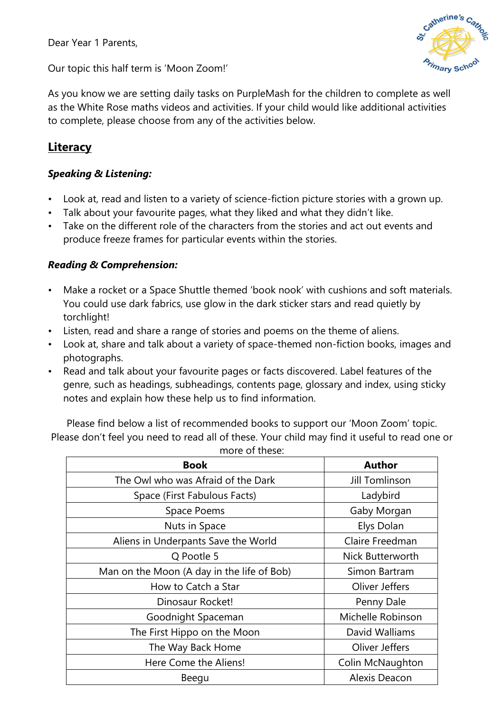Dear Year 1 Parents,



Our topic this half term is 'Moon Zoom!'

As you know we are setting daily tasks on PurpleMash for the children to complete as well as the White Rose maths videos and activities. If your child would like additional activities to complete, please choose from any of the activities below.

# **Literacy**

## *Speaking & Listening:*

- Look at, read and listen to a variety of science-fiction picture stories with a grown up.
- Talk about your favourite pages, what they liked and what they didn't like.
- Take on the different role of the characters from the stories and act out events and produce freeze frames for particular events within the stories.

## *Reading & Comprehension:*

- Make a rocket or a Space Shuttle themed 'book nook' with cushions and soft materials. You could use dark fabrics, use glow in the dark sticker stars and read quietly by torchlight!
- Listen, read and share a range of stories and poems on the theme of aliens.
- Look at, share and talk about a variety of space-themed non-fiction books, images and photographs.
- Read and talk about your favourite pages or facts discovered. Label features of the genre, such as headings, subheadings, contents page, glossary and index, using sticky notes and explain how these help us to find information.

Please find below a list of recommended books to support our 'Moon Zoom' topic. Please don't feel you need to read all of these. Your child may find it useful to read one or

| <b>Book</b>                                | <b>Author</b>         |
|--------------------------------------------|-----------------------|
| The Owl who was Afraid of the Dark         | <b>Jill Tomlinson</b> |
| Space (First Fabulous Facts)               | Ladybird              |
| Space Poems                                | Gaby Morgan           |
| Nuts in Space                              | Elys Dolan            |
| Aliens in Underpants Save the World        | Claire Freedman       |
| Q Pootle 5                                 | Nick Butterworth      |
| Man on the Moon (A day in the life of Bob) | Simon Bartram         |
| How to Catch a Star                        | Oliver Jeffers        |
| Dinosaur Rocket!                           | Penny Dale            |
| Goodnight Spaceman                         | Michelle Robinson     |
| The First Hippo on the Moon                | David Walliams        |
| The Way Back Home                          | Oliver Jeffers        |
| Here Come the Aliens!                      | Colin McNaughton      |
| Beegu                                      | Alexis Deacon         |

more of these: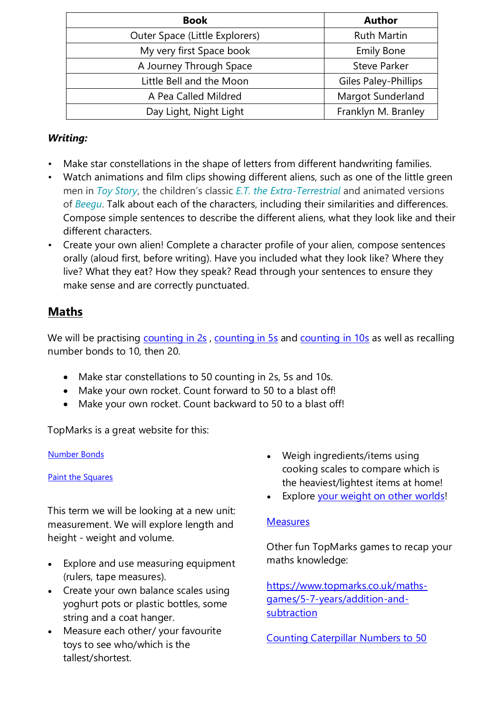| <b>Book</b>                    | <b>Author</b>               |
|--------------------------------|-----------------------------|
| Outer Space (Little Explorers) | <b>Ruth Martin</b>          |
| My very first Space book       | <b>Emily Bone</b>           |
| A Journey Through Space        | <b>Steve Parker</b>         |
| Little Bell and the Moon       | <b>Giles Paley-Phillips</b> |
| A Pea Called Mildred           | Margot Sunderland           |
| Day Light, Night Light         | Franklyn M. Branley         |

## *Writing:*

- Make star constellations in the shape of letters from different handwriting families.
- Watch animations and film clips showing different aliens, such as one of the little green men in *[Toy Story](https://www.youtube.com/watch?v=N-Esh4W3dfI)*, the children's classic *[E.T. the Extra-Terrestrial](https://www.youtube.com/watch?v=mGA_uH0-n28)* and animated versions of *[Beegu](https://www.youtube.com/results?search_query=beegu)*. Talk about each of the characters, including their similarities and differences. Compose simple sentences to describe the different aliens, what they look like and their different characters.
- Create your own alien! Complete a character profile of your alien, compose sentences orally (aloud first, before writing). Have you included what they look like? Where they live? What they eat? How they speak? Read through your sentences to ensure they make sense and are correctly punctuated.

# **Maths**

We will be practising [counting in 2s](https://www.youtube.com/watch?v=GvTcpfSnOMQ%20%20%20%20), [counting in 5s](https://www.youtube.com/watch?v=EemjeA2Djjw%20%20) and [counting in 10s](https://www.youtube.com/watch?v=Ftati8iGQcs%20) as well as recalling number bonds to 10, then 20.

- Make star constellations to 50 counting in 2s, 5s and 10s.
- Make your own rocket. Count forward to 50 to a blast off!
- Make your own rocket. Count backward to 50 to a blast off!

TopMarks is a great website for this:

[Number Bonds](https://www.topmarks.co.uk/maths-games/hit-the-button)

[Paint the Squares](https://www.topmarks.co.uk/learning-to-count/paint-the-squares)

This term we will be looking at a new unit: measurement. We will explore length and height - weight and volume.

- Explore and use measuring equipment (rulers, tape measures).
- Create your own balance scales using yoghurt pots or plastic bottles, some string and a coat hanger.
- Measure each other/ your favourite toys to see who/which is the tallest/shortest.
- Weigh ingredients/items using cooking scales to compare which is the heaviest/lightest items at home!
- Explore your weight [on other worlds!](https://www.exploratorium.edu/ronh/weight/)

## **[Measures](https://www.topmarks.co.uk/maths-games/5-7-years/measures)**

Other fun TopMarks games to recap your maths knowledge:

[https://www.topmarks.co.uk/maths](https://www.topmarks.co.uk/maths-games/5-7-years/addition-and-subtraction)[games/5-7-years/addition-and](https://www.topmarks.co.uk/maths-games/5-7-years/addition-and-subtraction)[subtraction](https://www.topmarks.co.uk/maths-games/5-7-years/addition-and-subtraction)

[Counting Caterpillar Numbers to 50](http://www.ictgames.com/mobilePage/countingCaterpillar/index.html)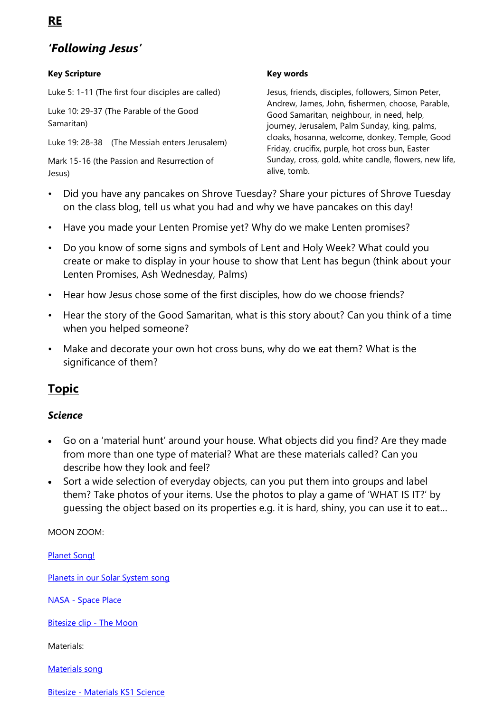# *'Following Jesus'*

### **Key Scripture**

Luke 5: 1-11 (The first four disciples are called)

Luke 10: 29-37 (The Parable of the Good Samaritan)

Luke 19: 28-38 (The Messiah enters Jerusalem)

Mark 15-16 (the Passion and Resurrection of Jesus)

### **Key words**

Jesus, friends, disciples, followers, Simon Peter, Andrew, James, John, fishermen, choose, Parable, Good Samaritan, neighbour, in need, help, journey, Jerusalem, Palm Sunday, king, palms, cloaks, hosanna, welcome, donkey, Temple, Good Friday, crucifix, purple, hot cross bun, Easter Sunday, cross, gold, white candle, flowers, new life, alive, tomb.

- Did you have any pancakes on Shrove Tuesday? Share your pictures of Shrove Tuesday on the class blog, tell us what you had and why we have pancakes on this day!
- Have you made your Lenten Promise yet? Why do we make Lenten promises?
- Do you know of some signs and symbols of Lent and Holy Week? What could you create or make to display in your house to show that Lent has begun (think about your Lenten Promises, Ash Wednesday, Palms)
- Hear how Jesus chose some of the first disciples, how do we choose friends?
- Hear the story of the Good Samaritan, what is this story about? Can you think of a time when you helped someone?
- Make and decorate your own hot cross buns, why do we eat them? What is the significance of them?

## **Topic**

### *Science*

- Go on a 'material hunt' around your house. What objects did you find? Are they made from more than one type of material? What are these materials called? Can you describe how they look and feel?
- Sort a wide selection of everyday objects, can you put them into groups and label them? Take photos of your items. Use the photos to play a game of 'WHAT IS IT?' by guessing the object based on its properties e.g. it is hard, shiny, you can use it to eat…

MOON ZOOM:

[Planet Song!](https://www.youtube.com/watch?v=7t099KIWVVs)

[Planets in our Solar System song](https://www.youtube.com/watch?v=PCxjuDePdCI)

NASA - [Space Place](https://spaceplace.nasa.gov/) 

[Bitesize clip -](https://www.bbc.co.uk/bitesize/clips/zy89wmn) The Moon

Materials:

[Materials song](https://www.youtube.com/watch?v=xOKr462HLc0) 

Bitesize - [Materials KS1 Science](https://www.bbc.co.uk/bitesize/topics/zrssgk7/articles/z9pgcdm)